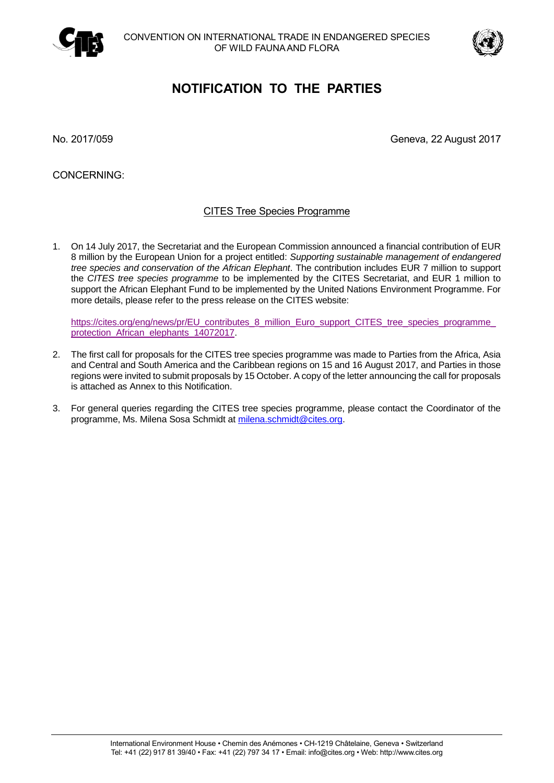



# **NOTIFICATION TO THE PARTIES**

No. 2017/059 Geneva, 22 August 2017

CONCERNING:

## CITES Tree Species Programme

1. On 14 July 2017, the Secretariat and the European Commission announced a financial contribution of EUR 8 million by the European Union for a project entitled: *Supporting sustainable management of endangered tree species and conservation of the African Elephant*. The contribution includes EUR 7 million to support the *CITES tree species programme* to be implemented by the CITES Secretariat, and EUR 1 million to support the African Elephant Fund to be implemented by the United Nations Environment Programme. For more details, please refer to the press release on the CITES website:

https://cites.org/eng/news/pr/EU\_contributes\_8\_million\_Euro\_support\_CITES\_tree\_species\_programme [protection\\_African\\_elephants\\_14072017.](https://cites.org/eng/news/pr/EU_contributes_8_million_Euro_support_CITES_tree_species_programme_protection_African_elephants_14072017)

- 2. The first call for proposals for the CITES tree species programme was made to Parties from the Africa, Asia and Central and South America and the Caribbean regions on 15 and 16 August 2017, and Parties in those regions were invited to submit proposals by 15 October. A copy of the letter announcing the call for proposals is attached as Annex to this Notification.
- 3. For general queries regarding the CITES tree species programme, please contact the Coordinator of the programme, Ms. Milena Sosa Schmidt at [milena.schmidt@cites.org.](mailto:milena.schmidt@cites.org)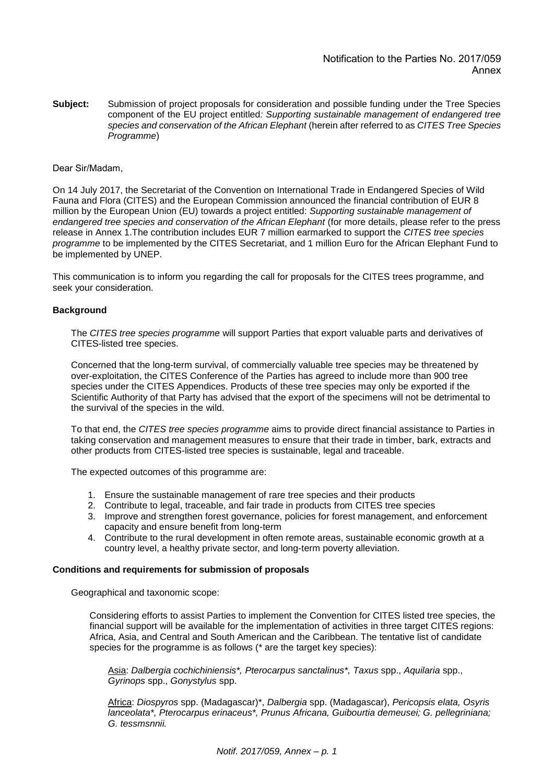**Subject:** Submission of project proposals for consideration and possible funding under the Tree Species component of the EU project entitled*: Supporting sustainable management of endangered tree species and conservation of the African Elephant* (herein after referred to as *CITES Tree Species Programme*)

#### Dear Sir/Madam,

On 14 July 2017, the Secretariat of the Convention on International Trade in Endangered Species of Wild Fauna and Flora (CITES) and the European Commission announced the financial contribution of EUR 8 million by the European Union (EU) towards a project entitled: *Supporting sustainable management of endangered tree species and conservation of the African Elephant* (for more details, please refer to the press release in Annex 1.The contribution includes EUR 7 million earmarked to support the *CITES tree species programme* to be implemented by the CITES Secretariat, and 1 million Euro for the African Elephant Fund to be implemented by UNEP.

This communication is to inform you regarding the call for proposals for the CITES trees programme, and seek your consideration.

#### **Background**

The *CITES tree species programme* will support Parties that export valuable parts and derivatives of CITES-listed tree species.

Concerned that the long-term survival, of commercially valuable tree species may be threatened by over-exploitation, the CITES Conference of the Parties has agreed to include more than 900 tree species under the CITES Appendices. Products of these tree species may only be exported if the Scientific Authority of that Party has advised that the export of the specimens will not be detrimental to the survival of the species in the wild.

To that end, the *CITES tree species programme* aims to provide direct financial assistance to Parties in taking conservation and management measures to ensure that their trade in timber, bark, extracts and other products from CITES-listed tree species is sustainable, legal and traceable.

The expected outcomes of this programme are:

- 1. Ensure the sustainable management of rare tree species and their products
- 2. Contribute to legal, traceable, and fair trade in products from CITES tree species
- 3. Improve and strengthen forest governance, policies for forest management, and enforcement capacity and ensure benefit from long-term
- 4. Contribute to the rural development in often remote areas, sustainable economic growth at a country level, a healthy private sector, and long-term poverty alleviation.

#### **Conditions and requirements for submission of proposals**

Geographical and taxonomic scope:

Considering efforts to assist Parties to implement the Convention for CITES listed tree species, the financial support will be available for the implementation of activities in three target CITES regions: Africa, Asia, and Central and South American and the Caribbean. The tentative list of candidate species for the programme is as follows (\* are the target key species):

Asia: *Dalbergia cochichiniensis\*, Pterocarpus sanctalinus\*, Taxus* spp., *Aquilaria* spp., *Gyrinops* spp., *Gonystylus* spp.

Africa: *Diospyros* spp. (Madagascar)\*, *Dalbergia* spp. (Madagascar), *Pericopsis elata, Osyris lanceolata\*, Pterocarpus erinaceus\*, Prunus Africana, Guibourtia demeusei; G. pellegriniana; G. tessmsnnii.*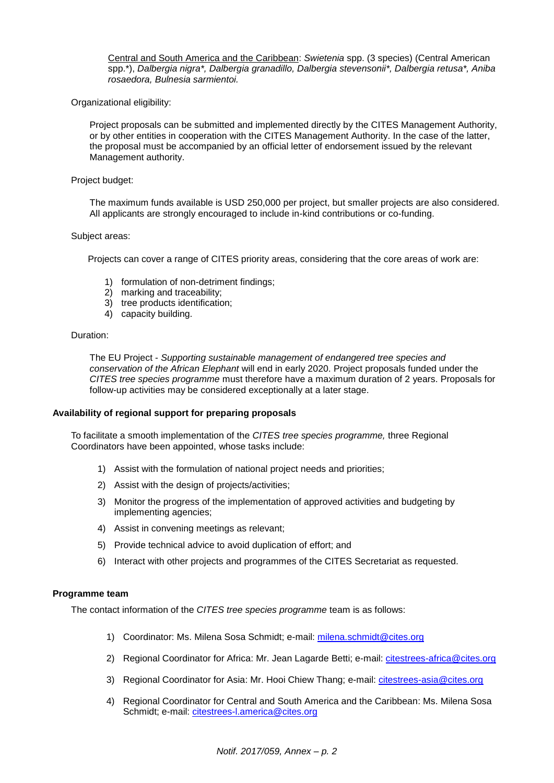Central and South America and the Caribbean: *Swietenia* spp. (3 species) (Central American spp.\*), *Dalbergia nigra\*, Dalbergia granadillo, Dalbergia stevensonii\*, Dalbergia retusa\*, Aniba rosaedora, Bulnesia sarmientoi.*

Organizational eligibility:

Project proposals can be submitted and implemented directly by the CITES Management Authority, or by other entities in cooperation with the CITES Management Authority. In the case of the latter, the proposal must be accompanied by an official letter of endorsement issued by the relevant Management authority.

#### Project budget:

The maximum funds available is USD 250,000 per project, but smaller projects are also considered. All applicants are strongly encouraged to include in-kind contributions or co-funding.

#### Subject areas:

Projects can cover a range of CITES priority areas, considering that the core areas of work are:

- 1) formulation of non-detriment findings;
- 2) marking and traceability;
- 3) tree products identification;
- 4) capacity building.

#### Duration:

The EU Project - *Supporting sustainable management of endangered tree species and conservation of the African Elephant* will end in early 2020. Project proposals funded under the *CITES tree species programme* must therefore have a maximum duration of 2 years. Proposals for follow-up activities may be considered exceptionally at a later stage.

#### **Availability of regional support for preparing proposals**

To facilitate a smooth implementation of the *CITES tree species programme,* three Regional Coordinators have been appointed, whose tasks include:

- 1) Assist with the formulation of national project needs and priorities;
- 2) Assist with the design of projects/activities;
- 3) Monitor the progress of the implementation of approved activities and budgeting by implementing agencies;
- 4) Assist in convening meetings as relevant;
- 5) Provide technical advice to avoid duplication of effort; and
- 6) Interact with other projects and programmes of the CITES Secretariat as requested.

#### **Programme team**

The contact information of the *CITES tree species programme* team is as follows:

- 1) Coordinator: Ms. Milena Sosa Schmidt; e-mail: [milena.schmidt@cites.org](mailto:milena.schmidt@cites.org)
- 2) Regional Coordinator for Africa: Mr. Jean Lagarde Betti; e-mail: citestrees-africa@cites.org
- 3) Regional Coordinator for Asia: Mr. Hooi Chiew Thang; e-mail: citestrees-asia@cites.org
- 4) Regional Coordinator for Central and South America and the Caribbean: Ms. Milena Sosa Schmidt; e-mail: citestrees-l.america@cites.org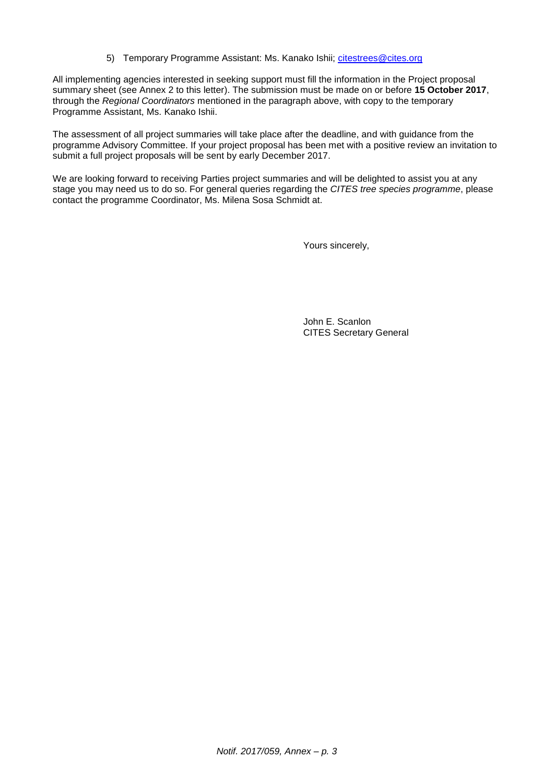5) Temporary Programme Assistant: Ms. Kanako Ishii; [citestrees@cites.org](mailto:citestrees@cites.org)

All implementing agencies interested in seeking support must fill the information in the Project proposal summary sheet (see Annex 2 to this letter). The submission must be made on or before **15 October 2017**, through the *Regional Coordinators* mentioned in the paragraph above, with copy to the temporary Programme Assistant, Ms. Kanako Ishii.

The assessment of all project summaries will take place after the deadline, and with guidance from the programme Advisory Committee. If your project proposal has been met with a positive review an invitation to submit a full project proposals will be sent by early December 2017.

We are looking forward to receiving Parties project summaries and will be delighted to assist you at any stage you may need us to do so. For general queries regarding the *CITES tree species programme*, please contact the programme Coordinator, Ms. Milena Sosa Schmidt at.

Yours sincerely,

John E. Scanlon CITES Secretary General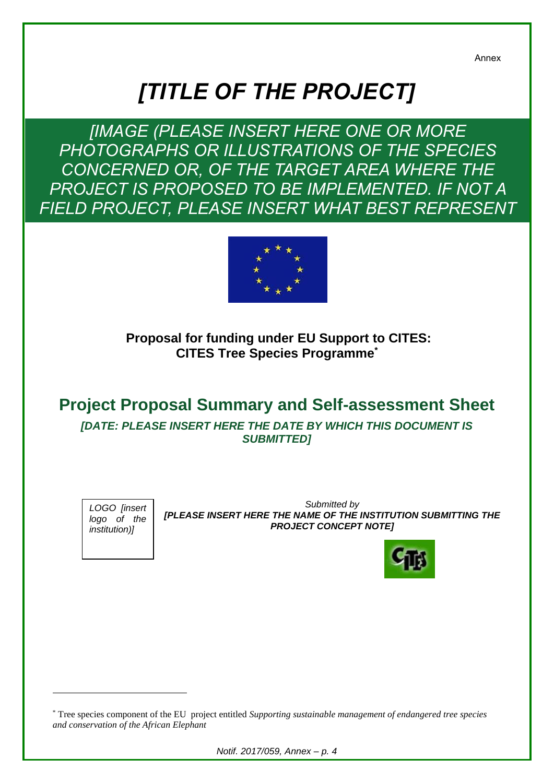Annex

# *[TITLE OF THE PROJECT]*

*[IMAGE (PLEASE INSERT HERE ONE OR MORE PHOTOGRAPHS OR ILLUSTRATIONS OF THE SPECIES CONCERNED OR, OF THE TARGET AREA WHERE THE PROJECT IS PROPOSED TO BE IMPLEMENTED. IF NOT A FIELD PROJECT, PLEASE INSERT WHAT BEST REPRESENT* 



**Proposal for funding under EU Support to CITES: CITES Tree Species Programme\***

# **Project Proposal Summary and Self-assessment Sheet**

*[DATE: PLEASE INSERT HERE THE DATE BY WHICH THIS DOCUMENT IS SUBMITTED]*

*LOGO [insert logo of the institution)]*

1

*Submitted by [PLEASE INSERT HERE THE NAME OF THE INSTITUTION SUBMITTING THE PROJECT CONCEPT NOTE]*



*Notif. 2017/059, Annex – p. 4*

<sup>\*</sup> Tree species component of the EU project entitled *Supporting sustainable management of endangered tree species and conservation of the African Elephant*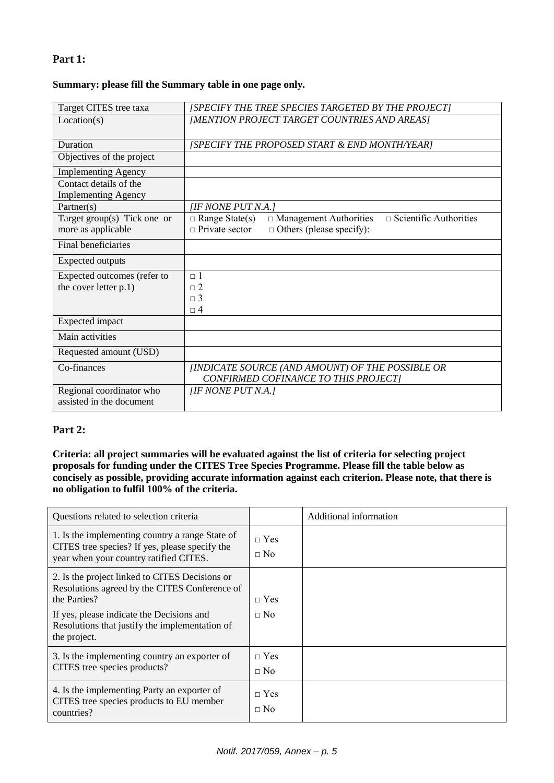# **Part 1:**

#### **Summary: please fill the Summary table in one page only.**

| Target CITES tree taxa                               | [SPECIFY THE TREE SPECIES TARGETED BY THE PROJECT]                                                                                                  |  |  |
|------------------------------------------------------|-----------------------------------------------------------------------------------------------------------------------------------------------------|--|--|
| Location(s)                                          | [MENTION PROJECT TARGET COUNTRIES AND AREAS]                                                                                                        |  |  |
| Duration                                             | [SPECIFY THE PROPOSED START & END MONTH/YEAR]                                                                                                       |  |  |
| Objectives of the project                            |                                                                                                                                                     |  |  |
| <b>Implementing Agency</b>                           |                                                                                                                                                     |  |  |
| Contact details of the<br><b>Implementing Agency</b> |                                                                                                                                                     |  |  |
| Partner(s)                                           | [IF NONE PUT N.A.]                                                                                                                                  |  |  |
| Target group(s) Tick one or<br>more as applicable    | $\Box$ Scientific Authorities<br>$\Box$ Range State(s)<br>$\Box$ Management Authorities<br>$\Box$ Private sector<br>$\Box$ Others (please specify): |  |  |
| Final beneficiaries                                  |                                                                                                                                                     |  |  |
| <b>Expected outputs</b>                              |                                                                                                                                                     |  |  |
| Expected outcomes (refer to                          | $\Box$ 1                                                                                                                                            |  |  |
| the cover letter p.1)                                | $\Box$ 2<br>$\sqcap$ 3                                                                                                                              |  |  |
|                                                      | $\Box$ <sup>4</sup>                                                                                                                                 |  |  |
| Expected impact                                      |                                                                                                                                                     |  |  |
| Main activities                                      |                                                                                                                                                     |  |  |
| Requested amount (USD)                               |                                                                                                                                                     |  |  |
| Co-finances                                          | [INDICATE SOURCE (AND AMOUNT) OF THE POSSIBLE OR<br>CONFIRMED COFINANCE TO THIS PROJECT]                                                            |  |  |
| Regional coordinator who<br>assisted in the document | [IF NONE PUT N.A.]                                                                                                                                  |  |  |

## **Part 2:**

### **Criteria: all project summaries will be evaluated against the list of criteria for selecting project proposals for funding under the CITES Tree Species Programme. Please fill the table below as concisely as possible, providing accurate information against each criterion. Please note, that there is no obligation to fulfil 100% of the criteria.**

| Questions related to selection criteria                                                                                                                                                                                        |                           | Additional information |
|--------------------------------------------------------------------------------------------------------------------------------------------------------------------------------------------------------------------------------|---------------------------|------------------------|
| 1. Is the implementing country a range State of<br>CITES tree species? If yes, please specify the<br>year when your country ratified CITES.                                                                                    | $\sqcap$ Yes<br>$\Box$ No |                        |
| 2. Is the project linked to CITES Decisions or<br>Resolutions agreed by the CITES Conference of<br>the Parties?<br>If yes, please indicate the Decisions and<br>Resolutions that justify the implementation of<br>the project. | $\sqcap$ Yes<br>$\Box$ No |                        |
| 3. Is the implementing country an exporter of<br>CITES tree species products?                                                                                                                                                  | $\Box$ Yes<br>$\Box$ No   |                        |
| 4. Is the implementing Party an exporter of<br>CITES tree species products to EU member<br>countries?                                                                                                                          | $\Box$ Yes<br>$\Box$ No   |                        |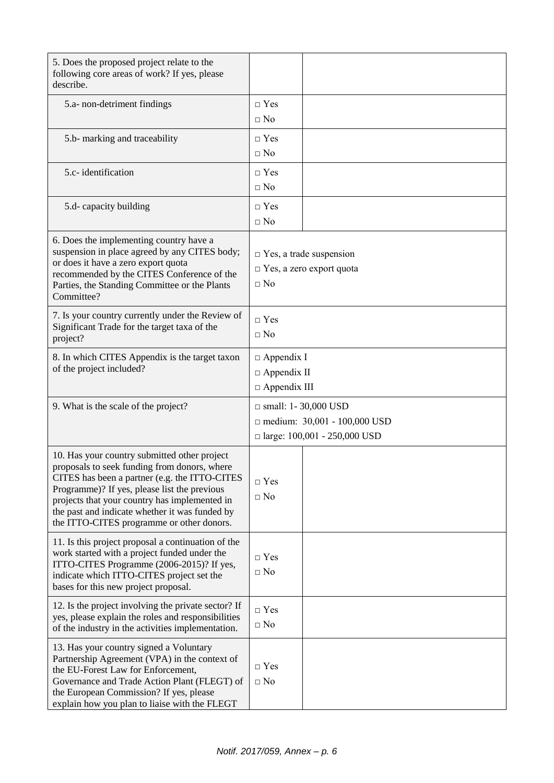| 5. Does the proposed project relate to the<br>following core areas of work? If yes, please<br>describe.                                                                                                                                                                                                                                       |                                                                                                          |  |  |
|-----------------------------------------------------------------------------------------------------------------------------------------------------------------------------------------------------------------------------------------------------------------------------------------------------------------------------------------------|----------------------------------------------------------------------------------------------------------|--|--|
| 5.a- non-detriment findings                                                                                                                                                                                                                                                                                                                   | $\Box$ Yes<br>$\Box$ No                                                                                  |  |  |
| 5.b- marking and traceability                                                                                                                                                                                                                                                                                                                 | $\Box$ Yes<br>$\Box$ No                                                                                  |  |  |
| 5.c- identification                                                                                                                                                                                                                                                                                                                           | $\Box$ Yes<br>$\Box$ No                                                                                  |  |  |
| 5.d- capacity building                                                                                                                                                                                                                                                                                                                        | $\Box$ Yes<br>$\Box$ No                                                                                  |  |  |
| 6. Does the implementing country have a<br>suspension in place agreed by any CITES body;<br>or does it have a zero export quota<br>recommended by the CITES Conference of the<br>Parties, the Standing Committee or the Plants<br>Committee?                                                                                                  | $\Box$ Yes, a trade suspension<br>$\Box$ Yes, a zero export quota<br>$\Box$ No                           |  |  |
| 7. Is your country currently under the Review of<br>Significant Trade for the target taxa of the<br>project?                                                                                                                                                                                                                                  | $\Box$ Yes<br>$\Box$ No                                                                                  |  |  |
| 8. In which CITES Appendix is the target taxon<br>of the project included?                                                                                                                                                                                                                                                                    | $\Box$ Appendix I<br>$\Box$ Appendix II<br>$\Box$ Appendix III                                           |  |  |
| 9. What is the scale of the project?                                                                                                                                                                                                                                                                                                          | $\Box$ small: 1-30,000 USD<br>$\Box$ medium: 30,001 - 100,000 USD<br>$\Box$ large: 100,001 - 250,000 USD |  |  |
| 10. Has your country submitted other project<br>proposals to seek funding from donors, where<br>CITES has been a partner (e.g. the ITTO-CITES<br>Programme)? If yes, please list the previous<br>projects that your country has implemented in<br>the past and indicate whether it was funded by<br>the ITTO-CITES programme or other donors. | $\Box$ Yes<br>$\Box$ No                                                                                  |  |  |
| 11. Is this project proposal a continuation of the<br>work started with a project funded under the<br>ITTO-CITES Programme (2006-2015)? If yes,<br>indicate which ITTO-CITES project set the<br>bases for this new project proposal.                                                                                                          | $\Box$ Yes<br>$\Box$ No                                                                                  |  |  |
| 12. Is the project involving the private sector? If<br>yes, please explain the roles and responsibilities<br>of the industry in the activities implementation.                                                                                                                                                                                | $\Box$ Yes<br>$\Box$ No                                                                                  |  |  |
| 13. Has your country signed a Voluntary<br>Partnership Agreement (VPA) in the context of<br>the EU-Forest Law for Enforcement,<br>Governance and Trade Action Plant (FLEGT) of<br>the European Commission? If yes, please<br>explain how you plan to liaise with the FLEGT                                                                    | $\Box$ Yes<br>$\Box$ No                                                                                  |  |  |